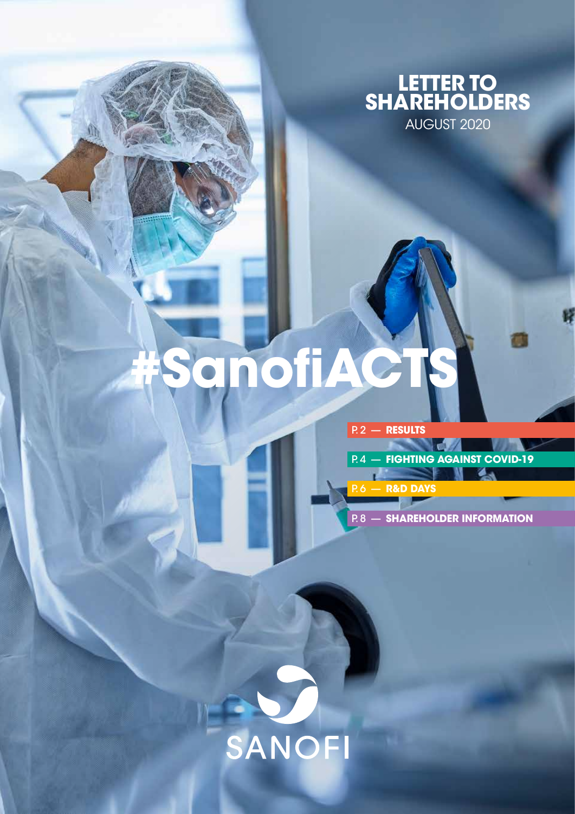

# $M$ ofi $AG$

P. 2 — **[RESULTS](#page-1-0)**

P. 6 — **[R&D DAYS](#page-5-0)**

P. 4 — **[FIGHTING AGAINST COVID-19](#page-3-0)** Δ.

P. 8 — **[SHAREHOLDER INFORMATION](#page-7-0)**

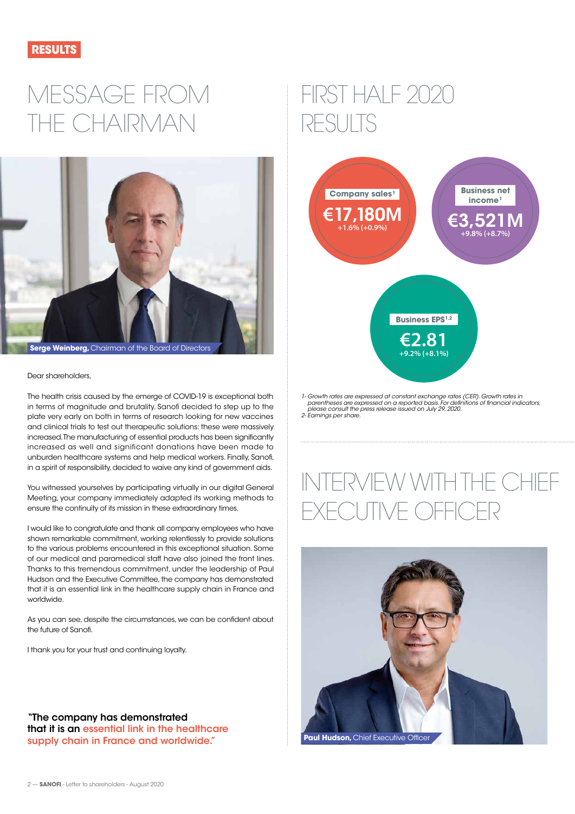<span id="page-1-0"></span>

### MESSAGE FROM THE CHAIRMAN



#### Dear shareholders,

The health crisis caused by the emerge of COVID-19 is exceptional both in terms of magnitude and brutality. Sanofi decided to step up to the plate very early on both in terms of research looking for new vaccines and clinical trials to test out therapeutic solutions: these were massively increased. The manufacturing of essential products has been significantly increased as well and significant donations have been made to unburden healthcare systems and help medical workers. Finally, Sanofi, in a spirit of responsibility, decided to waive any kind of government aids.

You witnessed yourselves by participating virtually in our digital General Meeting, your company immediately adapted its working methods to ensure the continuity of its mission in these extraordinary times.

I would like to congratulate and thank all company employees who have shown remarkable commitment, working relentlessly to provide solutions to the various problems encountered in this exceptional situation. Some of our medical and paramedical staff have also joined the front lines. Thanks to this tremendous commitment, under the leadership of Paul Hudson and the Executive Committee, the company has demonstrated that it is an essential link in the healthcare supply chain in France and worldwide.

As you can see, despite the circumstances, we can be confident about the future of Sanofi.

I thank you for your trust and continuing loyalty.

"The company has demonstrated that it is an essential link in the healthcare supply chain in France and worldwide."

### FIRST HALF 2020 RESULTS



*1- Growth rates are expressed at constant exchange rates (CER). Growth rates in parentheses are expressed on a reported basis. For definitions of financial indicators, please consult the press release issued on July 29, 2020. 2- Earnings per share.* 

# INTERVIEW WITH THE CHIEF EXECUTIVE OFFICER

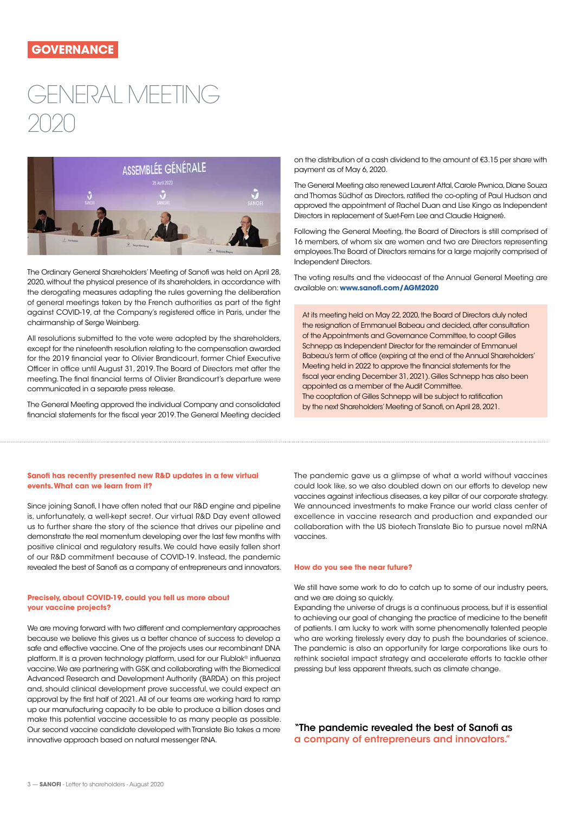### ENERAL MFFTING 2020



The Ordinary General Shareholders' Meeting of Sanofi was held on April 28, 2020, without the physical presence of its shareholders, in accordance with the derogating measures adapting the rules governing the deliberation of general meetings taken by the French authorities as part of the fight against COVID-19, at the Company's registered office in Paris, under the chairmanship of Serge Weinberg.

All resolutions submitted to the vote were adopted by the shareholders, except for the nineteenth resolution relating to the compensation awarded for the 2019 financial year to Olivier Brandicourt, former Chief Executive Officer in office until August 31, 2019. The Board of Directors met after the meeting. The final financial terms of Olivier Brandicourt's departure were communicated in a separate press release.

The General Meeting approved the individual Company and consolidated financial statements for the fiscal year 2019. The General Meeting decided

on the distribution of a cash dividend to the amount of €3.15 per share with payment as of May 6, 2020.

The General Meeting also renewed Laurent Attal, Carole Piwnica, Diane Souza and Thomas Südhof as Directors, ratified the co-opting of Paul Hudson and approved the appointment of Rachel Duan and Lise Kingo as Independent Directors in replacement of Suet-Fern Lee and Claudie Haigneré.

Following the General Meeting, the Board of Directors is still comprised of 16 members, of whom six are women and two are Directors representing employees. The Board of Directors remains for a large majority comprised of Independent Directors.

The voting results and the videocast of the Annual General Meeting are available on: **[www.sanofi.com/AGM2020](http://www.sanofi.com/AGM2020)**

At its meeting held on May 22, 2020, the Board of Directors duly noted the resignation of Emmanuel Babeau and decided, after consultation of the Appointments and Governance Committee, to coopt Gilles Schnepp as Independent Director for the remainder of Emmanuel Babeau's term of office (expiring at the end of the Annual Shareholders' Meeting held in 2022 to approve the financial statements for the fiscal year ending December 31, 2021). Gilles Schnepp has also been appointed as a member of the Audit Committee. The cooptation of Gilles Schnepp will be subject to ratification by the next Shareholders' Meeting of Sanofi, on April 28, 2021.

#### **Sanofi has recently presented new R&D updates in a few virtual events. What can we learn from it?**

Since joining Sanofi, I have often noted that our R&D engine and pipeline is, unfortunately, a well-kept secret. Our virtual R&D Day event allowed us to further share the story of the science that drives our pipeline and demonstrate the real momentum developing over the last few months with positive clinical and regulatory results. We could have easily fallen short of our R&D commitment because of COVID-19. Instead, the pandemic revealed the best of Sanofi as a company of entrepreneurs and innovators.

#### **Precisely, about COVID-19, could you tell us more about your vaccine projects?**

We are moving forward with two different and complementary approaches because we believe this gives us a better chance of success to develop a safe and effective vaccine. One of the projects uses our recombinant DNA platform. It is a proven technology platform, used for our Flublok® influenza vaccine. We are partnering with GSK and collaborating with the Biomedical Advanced Research and Development Authority (BARDA) on this project and, should clinical development prove successful, we could expect an approval by the first half of 2021. All of our teams are working hard to ramp up our manufacturing capacity to be able to produce a billion doses and make this potential vaccine accessible to as many people as possible. Our second vaccine candidate developed with Translate Bio takes a more innovative approach based on natural messenger RNA.

The pandemic gave us a glimpse of what a world without vaccines could look like, so we also doubled down on our efforts to develop new vaccines against infectious diseases, a key pillar of our corporate strategy. We announced investments to make France our world class center of excellence in vaccine research and production and expanded our collaboration with the US biotech Translate Bio to pursue novel mRNA vaccines.

#### **How do you see the near future?**

We still have some work to do to catch up to some of our industry peers, and we are doing so quickly.

Expanding the universe of drugs is a continuous process, but it is essential to achieving our goal of changing the practice of medicine to the benefit of patients. I am lucky to work with some phenomenally talented people who are working tirelessly every day to push the boundaries of science. The pandemic is also an opportunity for large corporations like ours to rethink societal impact strategy and accelerate efforts to tackle other pressing but less apparent threats, such as climate change.

"The pandemic revealed the best of Sanofi as a company of entrepreneurs and innovators."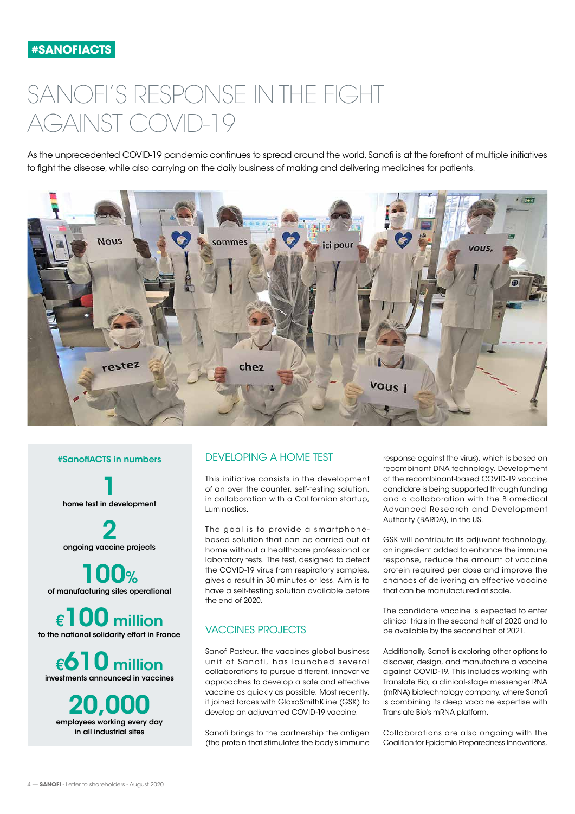# <span id="page-3-0"></span>SANOFI'S RESPONSE IN THE FIGHT AGAINST COVID-19

As the unprecedented COVID-19 pandemic continues to spread around the world, Sanofi is at the forefront of multiple initiatives to fight the disease, while also carrying on the daily business of making and delivering medicines for patients.



#### #SanofiACTS in numbers

1 home test in development

2 ongoing vaccine projects

100% of manufacturing sites operational

€100 million to the national solidarity effort in France

€610 million investments announced in vaccines

20,000 employees working every day in all industrial sites

#### DEVELOPING A HOME TEST

This initiative consists in the development of an over the counter, self-testing solution, in collaboration with a Californian startup, Luminostics.

The goal is to provide a smartphonebased solution that can be carried out at home without a healthcare professional or laboratory tests. The test, designed to detect the COVID-19 virus from respiratory samples, gives a result in 30 minutes or less. Aim is to have a self-testing solution available before the end of 2020.

#### VACCINES PROJECTS

Sanofi Pasteur, the vaccines global business unit of Sanofi, has launched several collaborations to pursue different, innovative approaches to develop a safe and effective vaccine as quickly as possible. Most recently, it joined forces with GlaxoSmithKline (GSK) to develop an adjuvanted COVID-19 vaccine.

Sanofi brings to the partnership the antigen (the protein that stimulates the body's immune

response against the virus), which is based on recombinant DNA technology. Development of the recombinant-based COVID-19 vaccine candidate is being supported through funding and a collaboration with the Biomedical Advanced Research and Development Authority (BARDA), in the US.

GSK will contribute its adjuvant technology, an ingredient added to enhance the immune response, reduce the amount of vaccine protein required per dose and improve the chances of delivering an effective vaccine that can be manufactured at scale.

The candidate vaccine is expected to enter clinical trials in the second half of 2020 and to be available by the second half of 2021.

Additionally, Sanofi is exploring other options to discover, design, and manufacture a vaccine against COVID-19. This includes working with Translate Bio, a clinical-stage messenger RNA (mRNA) biotechnology company, where Sanofi is combining its deep vaccine expertise with Translate Bio's mRNA platform.

Collaborations are also ongoing with the Coalition for Epidemic Preparedness Innovations,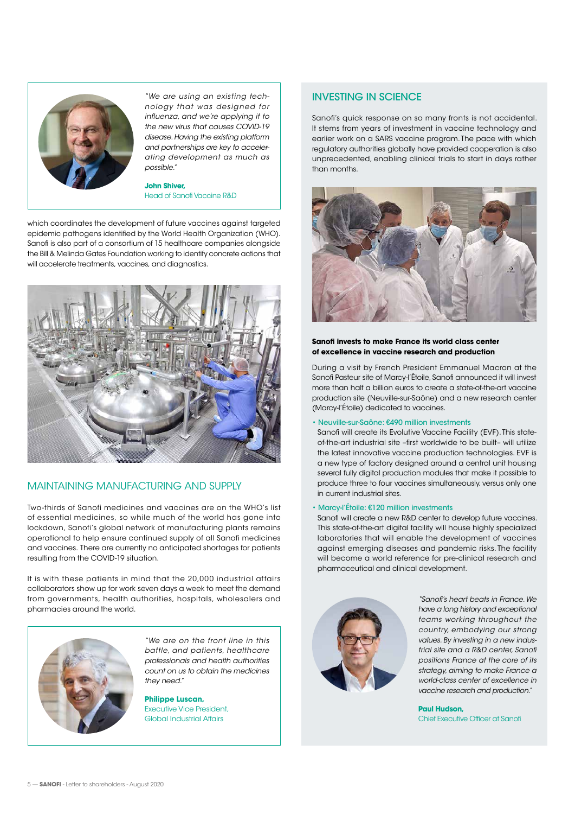

*"We are using an existing technology that was designed for influenza, and we're applying it to the new virus that causes COVID-19 disease. Having the existing platform and partnerships are key to accelerating development as much as possible."* 

**John Shiver,**  Head of Sanofi Vaccine R&D

which coordinates the development of future vaccines against targeted epidemic pathogens identified by the World Health Organization (WHO). Sanofi is also part of a consortium of 15 healthcare companies alongside the Bill & Melinda Gates Foundation working to identify concrete actions that will accelerate treatments, vaccines, and diagnostics.



#### MAINTAINING MANUFACTURING AND SUPPLY

Two-thirds of Sanofi medicines and vaccines are on the WHO's list of essential medicines, so while much of the world has gone into lockdown, Sanofi's global network of manufacturing plants remains operational to help ensure continued supply of all Sanofi medicines and vaccines. There are currently no anticipated shortages for patients resulting from the COVID-19 situation.

It is with these patients in mind that the 20,000 industrial affairs collaborators show up for work seven days a week to meet the demand from governments, health authorities, hospitals, wholesalers and pharmacies around the world.



*"We are on the front line in this battle, and patients, healthcare professionals and health authorities count on us to obtain the medicines they need."* 

**Philippe Luscan,**  Executive Vice President, Global Industrial Affairs

#### INVESTING IN SCIENCE

Sanofi's quick response on so many fronts is not accidental. It stems from years of investment in vaccine technology and earlier work on a SARS vaccine program. The pace with which regulatory authorities globally have provided cooperation is also unprecedented, enabling clinical trials to start in days rather than months.



#### **Sanofi invests to make France its world class center of excellence in vaccine research and production**

During a visit by French President Emmanuel Macron at the Sanofi Pasteur site of Marcy-l'Étoile, Sanofi announced it will invest more than half a billion euros to create a state-of-the-art vaccine production site (Neuville-sur-Saône) and a new research center (Marcy-l'Étoile) dedicated to vaccines.

#### • Neuville-sur -Saône: €490 million investments

Sanofi will create its Evolutive Vaccine Facility (EVF). This stateof-the-art industrial site –first worldwide to be built– will utilize the latest innovative vaccine production technologies. EVF is a new type of factory designed around a central unit housing several fully digital production modules that make it possible to produce three to four vaccines simultaneously, versus only one in current industrial sites.

#### • Marcy-l'Étoile: €120 million investments

Sanofi will create a new R&D center to develop future vaccines. This state-of-the-art digital facility will house highly specialized laboratories that will enable the development of vaccines against emerging diseases and pandemic risks. The facility will become a world reference for pre-clinical research and pharmaceutical and clinical development.



*"Sanofi's heart beats in France. We have a long history and exceptional teams working throughout the country, embodying our strong values. By investing in a new industrial site and a R&D center, Sanofi positions France at the core of its strategy, aiming to make France a world-class center of excellence in vaccine research and production."* 

**Paul Hudson,**  Chief Executive Officer at Sanofi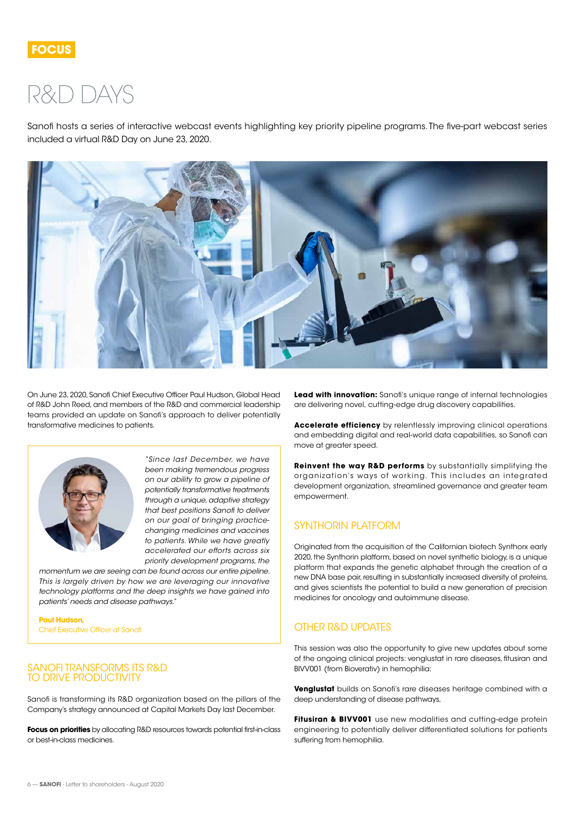### <span id="page-5-0"></span>R&D DAYS

Sanofi hosts a series of interactive webcast events highlighting key priority pipeline programs. The five-part webcast series included a virtual R&D Day on June 23, 2020.



On June 23, 2020, Sanofi Chief Executive Officer Paul Hudson, Global Head of R&D John Reed, and members of the R&D and commercial leadership teams provided an update on Sanofi's approach to deliver potentially transformative medicines to patients.



*"Since last December, we have been making tremendous progress on our ability to grow a pipeline of potentially transformative treatments through a unique, adaptive strategy that best positions Sanofi to deliver on our goal of bringing practicechanging medicines and vaccines to patients. While we have greatly accelerated our efforts across six priority development programs, the* 

*momentum we are seeing can be found across our entire pipeline. This is largely driven by how we are leveraging our innovative technology platforms and the deep insights we have gained into patients' needs and disease pathways."*

**Paul Hudson,**  Chief Executive Officer at Sanofi

#### SANOFI TRANSFORMS ITS R&D TO DRIVE PRODUCTIVITY

Sanofi is transforming its R&D organization based on the pillars of the Company's strategy announced at Capital Markets Day last December.

**Focus on priorities** by allocating R&D resources towards potential first-in-class or best-in-class medicines.

**Lead with innovation:** Sanofi's unique range of internal technologies are delivering novel, cutting-edge drug discovery capabilities.

**Accelerate efficiency** by relentlessly improving clinical operations and embedding digital and real-world data capabilities, so Sanofi can move at greater speed.

**Reinvent the way R&D performs** by substantially simplifying the organization's ways of working. This includes an integrated development organization, streamlined governance and greater team empowerment.

#### SYNTHORIN PLATFORM

Originated from the acquisition of the Californian biotech Synthorx early 2020, the Synthorin platform, based on novel synthetic biology, is a unique platform that expands the genetic alphabet through the creation of a new DNA base pair, resulting in substantially increased diversity of proteins, and gives scientists the potential to build a new generation of precision medicines for oncology and autoimmune disease.

#### OTHER R&D UPDATES

This session was also the opportunity to give new updates about some of the ongoing clinical projects: venglustat in rare diseases, fitusiran and BIVV001 (from Bioverativ) in hemophilia:

**Venglustat** builds on Sanofi's rare diseases heritage combined with a deep understanding of disease pathways,

**Fitusiran & BIVV001** use new modalities and cutting-edge protein engineering to potentially deliver differentiated solutions for patients suffering from hemophilia.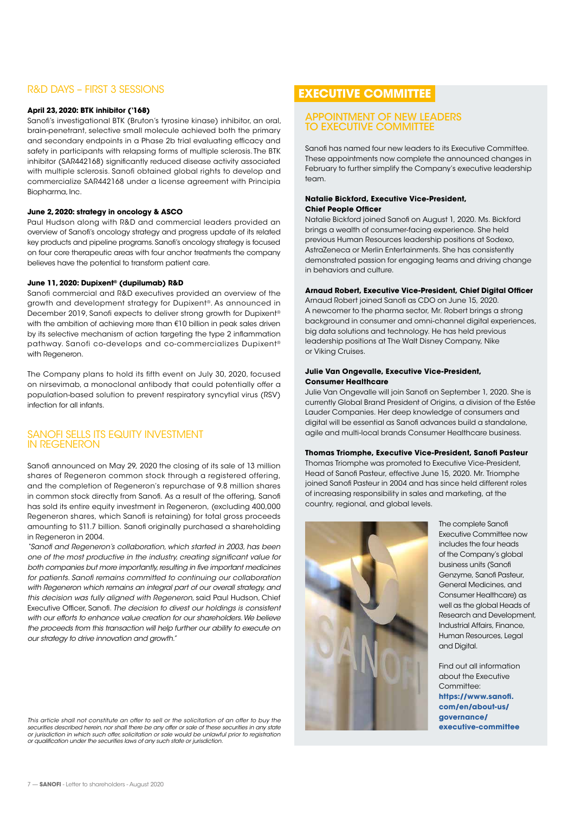#### R&D DAYS – FIRST 3 SESSIONS

#### **April 23, 2020: BTK inhibitor ('168)**

Sanofi's investigational BTK (Bruton's tyrosine kinase) inhibitor, an oral, brain-penetrant, selective small molecule achieved both the primary and secondary endpoints in a Phase 2b trial evaluating efficacy and safety in participants with relapsing forms of multiple sclerosis. The BTK inhibitor (SAR442168) significantly reduced disease activity associated with multiple sclerosis. Sanofi obtained global rights to develop and commercialize SAR442168 under a license agreement with Principia Biopharma, Inc.

#### **June 2, 2020: strategy in oncology & ASCO**

Paul Hudson along with R&D and commercial leaders provided an overview of Sanofi's oncology strategy and progress update of its related key products and pipeline programs. Sanofi's oncology strategy is focused on four core therapeutic areas with four anchor treatments the company believes have the potential to transform patient care.

#### **June 11, 2020: Dupixent® (dupilumab) R&D**

Sanofi commercial and R&D executives provided an overview of the growth and development strategy for Dupixent®. As announced in December 2019, Sanofi expects to deliver strong growth for Dupixent® with the ambition of achieving more than €10 billion in peak sales driven by its selective mechanism of action targeting the type 2 inflammation pathway. Sanofi co-develops and co-commercializes Dupixent® with Regeneron.

The Company plans to hold its fifth event on July 30, 2020, focused on nirsevimab, a monoclonal antibody that could potentially offer a population-based solution to prevent respiratory syncytial virus (RSV) infection for all infants.

#### SANOFI SELLS ITS EQUITY INVESTMENT IN REGENERON

Sanofi announced on May 29, 2020 the closing of its sale of 13 million shares of Regeneron common stock through a registered offering, and the completion of Regeneron's repurchase of 9.8 million shares in common stock directly from Sanofi. As a result of the offering, Sanofi has sold its entire equity investment in Regeneron, (excluding 400,000 Regeneron shares, which Sanofi is retaining) for total gross proceeds amounting to \$11.7 billion. Sanofi originally purchased a shareholding in Regeneron in 2004.

*"Sanofi and Regeneron's collaboration, which started in 2003, has been one of the most productive in the industry, creating significant value for both companies but more importantly, resulting in five important medicines for patients. Sanofi remains committed to continuing our collaboration with Regeneron which remains an integral part of our overall strategy, and this decision was fully aligned with Regeneron,* said Paul Hudson, Chief Executive Officer, Sanofi. *The decision to divest our holdings is consistent with our efforts to enhance value creation for our shareholders. We believe the proceeds from this transaction will help further our ability to execute on our strategy to drive innovation and growth."*

*This article shall not constitute an offer to sell or the solicitation of an offer to buy the securities described herein, nor shall there be any offer or sale of these securities in any state or jurisdiction in which such offer, solicitation or sale would be unlawful prior to registration or qualification under the securities laws of any such state or jurisdiction.*

#### **EXECUTIVE COMMITTEE**

#### APPOINTMENT OF NEW LEADERS TO EXECUTIVE COMMITTEE

Sanofi has named four new leaders to its Executive Committee. These appointments now complete the announced changes in February to further simplify the Company's executive leadership team.

#### **Natalie Bickford, Executive Vice-President, Chief People Officer**

Natalie Bickford joined Sanofi on August 1, 2020. Ms. Bickford brings a wealth of consumer-facing experience. She held previous Human Resources leadership positions at Sodexo, AstraZeneca or Merlin Entertainments. She has consistently demonstrated passion for engaging teams and driving change in behaviors and culture.

#### **Arnaud Robert, Executive Vice-President, Chief Digital Officer**

Arnaud Robert joined Sanofi as CDO on June 15, 2020. A newcomer to the pharma sector, Mr. Robert brings a strong background in consumer and omni-channel digital experiences, big data solutions and technology. He has held previous leadership positions at The Walt Disney Company, Nike or Viking Cruises.

#### **Julie Van Ongevalle, Executive Vice-President, Consumer Healthcare**

Julie Van Ongevalle will join Sanofi on September 1, 2020. She is currently Global Brand President of Origins, a division of the Estée Lauder Companies. Her deep knowledge of consumers and digital will be essential as Sanofi advances build a standalone, agile and multi-local brands Consumer Healthcare business.

#### **Thomas Triomphe, Executive Vice-President, Sanofi Pasteur**

Thomas Triomphe was promoted to Executive Vice-President, Head of Sanofi Pasteur, effective June 15, 2020. Mr. Triomphe joined Sanofi Pasteur in 2004 and has since held different roles of increasing responsibility in sales and marketing, at the country, regional, and global levels.



The complete Sanofi Executive Committee now includes the four heads of the Company's global business units (Sanofi Genzyme, Sanofi Pasteur, General Medicines, and Consumer Healthcare) as well as the global Heads of Research and Development, Industrial Affairs, Finance, Human Resources, Legal and Digital.

Find out all information about the Executive Committee: **[https://www.sanofi.](https://www.sanofi.com/en/about-us/governance/executive-committee ) [com/en/about-us/](https://www.sanofi.com/en/about-us/governance/executive-committee ) [governance/](https://www.sanofi.com/en/about-us/governance/executive-committee ) [executive-committee](https://www.sanofi.com/en/about-us/governance/executive-committee )**